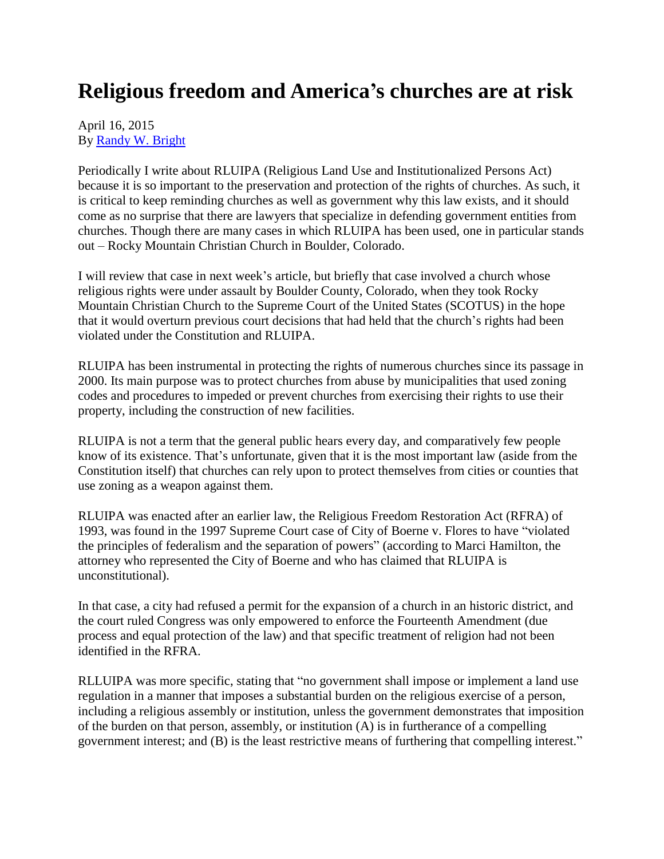## **Religious freedom and America's churches are at risk**

April 16, 2015 By [Randy W. Bright](http://www.tulsabeacon.com/author/slug-o6yd1v)

Periodically I write about RLUIPA (Religious Land Use and Institutionalized Persons Act) because it is so important to the preservation and protection of the rights of churches. As such, it is critical to keep reminding churches as well as government why this law exists, and it should come as no surprise that there are lawyers that specialize in defending government entities from churches. Though there are many cases in which RLUIPA has been used, one in particular stands out – Rocky Mountain Christian Church in Boulder, Colorado.

I will review that case in next week's article, but briefly that case involved a church whose religious rights were under assault by Boulder County, Colorado, when they took Rocky Mountain Christian Church to the Supreme Court of the United States (SCOTUS) in the hope that it would overturn previous court decisions that had held that the church's rights had been violated under the Constitution and RLUIPA.

RLUIPA has been instrumental in protecting the rights of numerous churches since its passage in 2000. Its main purpose was to protect churches from abuse by municipalities that used zoning codes and procedures to impeded or prevent churches from exercising their rights to use their property, including the construction of new facilities.

RLUIPA is not a term that the general public hears every day, and comparatively few people know of its existence. That's unfortunate, given that it is the most important law (aside from the Constitution itself) that churches can rely upon to protect themselves from cities or counties that use zoning as a weapon against them.

RLUIPA was enacted after an earlier law, the Religious Freedom Restoration Act (RFRA) of 1993, was found in the 1997 Supreme Court case of City of Boerne v. Flores to have "violated the principles of federalism and the separation of powers" (according to Marci Hamilton, the attorney who represented the City of Boerne and who has claimed that RLUIPA is unconstitutional).

In that case, a city had refused a permit for the expansion of a church in an historic district, and the court ruled Congress was only empowered to enforce the Fourteenth Amendment (due process and equal protection of the law) and that specific treatment of religion had not been identified in the RFRA.

RLLUIPA was more specific, stating that "no government shall impose or implement a land use regulation in a manner that imposes a substantial burden on the religious exercise of a person, including a religious assembly or institution, unless the government demonstrates that imposition of the burden on that person, assembly, or institution (A) is in furtherance of a compelling government interest; and (B) is the least restrictive means of furthering that compelling interest."